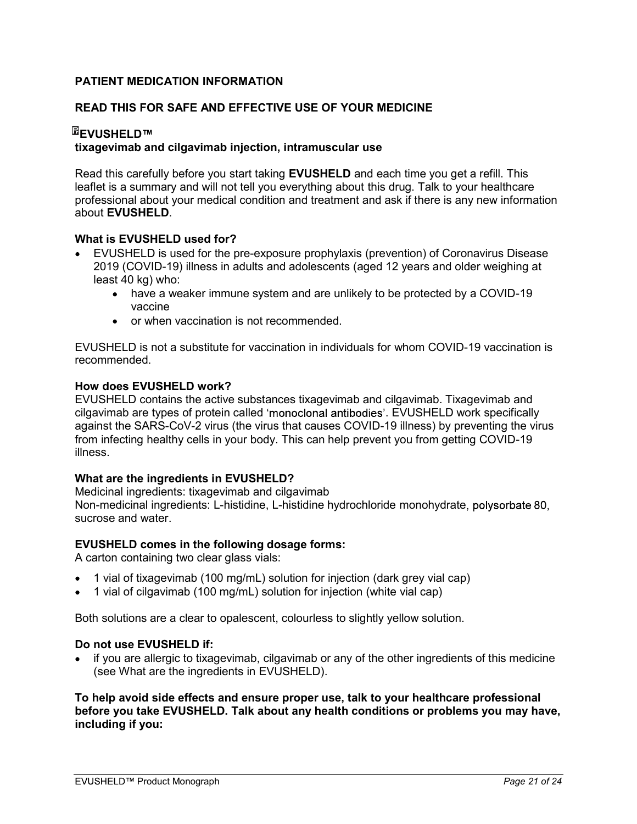# PATIENT MEDICATION INFORMATION

# READ THIS FOR SAFE AND EFFECTIVE USE OF YOUR MEDICINE

# <sup>⊞</sup>EVUSHELD™ tixagevimab and cilgavimab injection, intramuscular use

Read this carefully before you start taking **EVUSHELD** and each time you get a refill. This leaflet is a summary and will not tell you everything about this drug. Talk to your healthcare professional about your medical condition and treatment and ask if there is any new information about EVUSHELD.

## What is EVUSHELD used for?

- EVUSHELD is used for the pre-exposure prophylaxis (prevention) of Coronavirus Disease 2019 (COVID-19) illness in adults and adolescents (aged 12 years and older weighing at least 40 kg) who:
	- have a weaker immune system and are unlikely to be protected by a COVID-19 vaccine
	- or when vaccination is not recommended.

EVUSHELD is not a substitute for vaccination in individuals for whom COVID-19 vaccination is recommended.

## How does EVUSHELD work?

EVUSHELD contains the active substances tixagevimab and cilgavimab. Tixagevimab and cilgavimab are types of protein called 'monoclonal antibodies'. EVUSHELD work specifically against the SARS-CoV-2 virus (the virus that causes COVID-19 illness) by preventing the virus from infecting healthy cells in your body. This can help prevent you from getting COVID-19 illness.

## What are the ingredients in EVUSHELD?

Medicinal ingredients: tixagevimab and cilgavimab Non-medicinal ingredients: L-histidine, L-histidine hydrochloride monohydrate sucrose and water

## EVUSHELD comes in the following dosage forms:

A carton containing two clear glass vials:

- 1 vial of tixagevimab (100 mg/mL) solution for injection (dark grey vial cap)
- 1 vial of cilgavimab (100 mg/mL) solution for injection (white vial cap)

Both solutions are a clear to opalescent, colourless to slightly yellow solution.

## Do not use EVUSHELD if:

 if you are allergic to tixagevimab, cilgavimab or any of the other ingredients of this medicine (see What are the ingredients in EVUSHELD).

To help avoid side effects and ensure proper use, talk to your healthcare professional before you take EVUSHELD. Talk about any health conditions or problems you may have, including if you: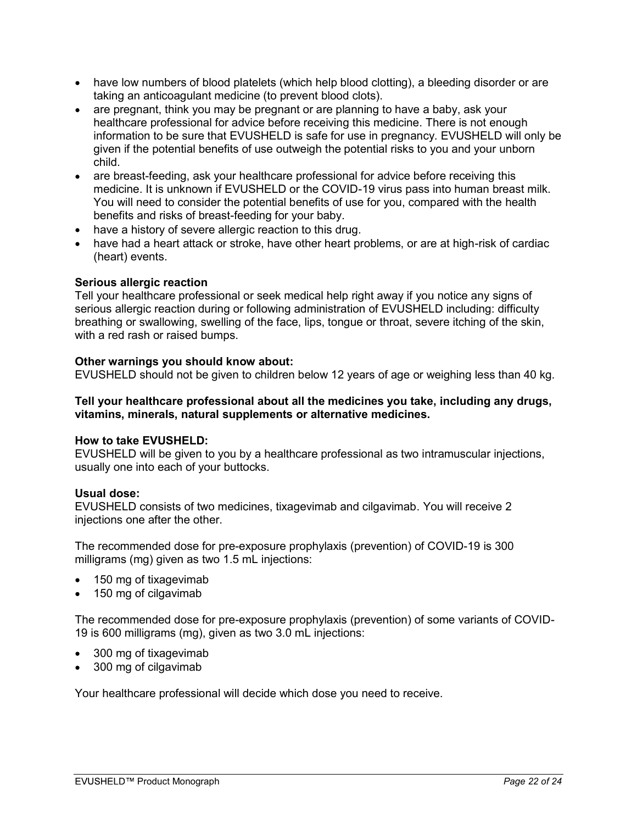- have low numbers of blood platelets (which help blood clotting), a bleeding disorder or are taking an anticoagulant medicine (to prevent blood clots).
- are pregnant, think you may be pregnant or are planning to have a baby, ask your healthcare professional for advice before receiving this medicine. There is not enough information to be sure that EVUSHELD is safe for use in pregnancy. EVUSHELD will only be given if the potential benefits of use outweigh the potential risks to you and your unborn child.
- are breast-feeding, ask your healthcare professional for advice before receiving this medicine. It is unknown if EVUSHELD or the COVID-19 virus pass into human breast milk. You will need to consider the potential benefits of use for you, compared with the health benefits and risks of breast-feeding for your baby.
- have a history of severe allergic reaction to this drug.
- have had a heart attack or stroke, have other heart problems, or are at high-risk of cardiac (heart) events.

# Serious allergic reaction

Tell your healthcare professional or seek medical help right away if you notice any signs of serious allergic reaction during or following administration of EVUSHELD including: difficulty breathing or swallowing, swelling of the face, lips, tongue or throat, severe itching of the skin, with a red rash or raised bumps.

# Other warnings you should know about:

EVUSHELD should not be given to children below 12 years of age or weighing less than 40 kg.

## Tell your healthcare professional about all the medicines you take, including any drugs, vitamins, minerals, natural supplements or alternative medicines.

# How to take EVUSHELD:

EVUSHELD will be given to you by a healthcare professional as two intramuscular injections, usually one into each of your buttocks.

# Usual dose:

EVUSHELD consists of two medicines, tixagevimab and cilgavimab. You will receive 2 injections one after the other.

The recommended dose for pre-exposure prophylaxis (prevention) of COVID-19 is 300 milligrams (mg) given as two 1.5 mL injections:

- 150 mg of tixagevimab
- 150 mg of cilgavimab

The recommended dose for pre-exposure prophylaxis (prevention) of some variants of COVID-19 is 600 milligrams (mg), given as two 3.0 mL injections:

- 300 mg of tixagevimab
- 300 mg of cilgavimab

Your healthcare professional will decide which dose you need to receive.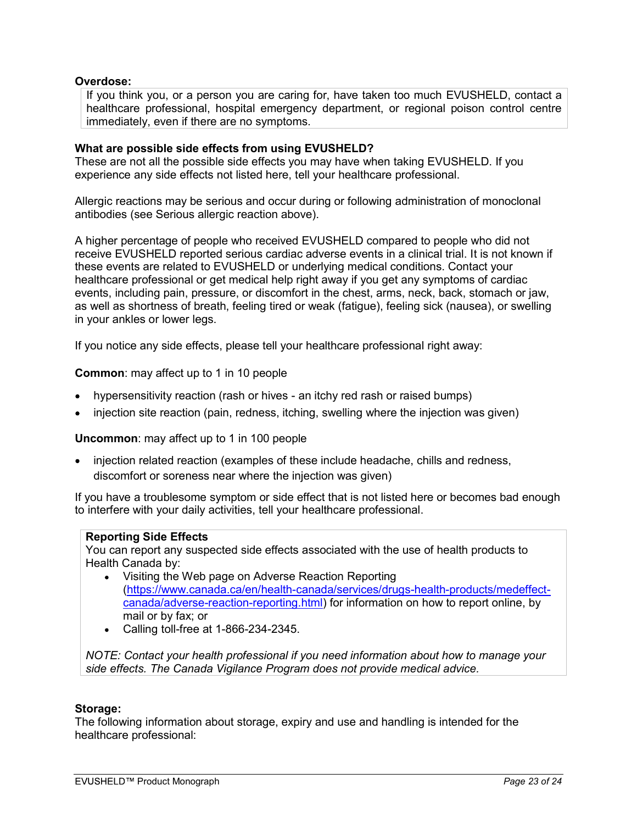## Overdose:

If you think you, or a person you are caring for, have taken too much EVUSHELD, contact a healthcare professional, hospital emergency department, or regional poison control centre immediately, even if there are no symptoms.

## What are possible side effects from using EVUSHELD?

These are not all the possible side effects you may have when taking EVUSHELD. If you experience any side effects not listed here, tell your healthcare professional.

Allergic reactions may be serious and occur during or following administration of monoclonal antibodies (see Serious allergic reaction above).

A higher percentage of people who received EVUSHELD compared to people who did not receive EVUSHELD reported serious cardiac adverse events in a clinical trial. It is not known if these events are related to EVUSHELD or underlying medical conditions. Contact your healthcare professional or get medical help right away if you get any symptoms of cardiac events, including pain, pressure, or discomfort in the chest, arms, neck, back, stomach or jaw, as well as shortness of breath, feeling tired or weak (fatigue), feeling sick (nausea), or swelling in your ankles or lower legs.

If you notice any side effects, please tell your healthcare professional right away:

## **Common:** may affect up to 1 in 10 people

- hypersensitivity reaction (rash or hives an itchy red rash or raised bumps)
- injection site reaction (pain, redness, itching, swelling where the injection was given)

## Uncommon: may affect up to 1 in 100 people

 injection related reaction (examples of these include headache, chills and redness, discomfort or soreness near where the injection was given)

If you have a troublesome symptom or side effect that is not listed here or becomes bad enough to interfere with your daily activities, tell your healthcare professional.

## Reporting Side Effects

You can report any suspected side effects associated with the use of health products to Health Canada by:

- Visiting the Web page on Adverse Reaction Reporting (https://www.canada.ca/en/health-canada/services/drugs-health-products/medeffectcanada/adverse-reaction-reporting.html) for information on how to report online, by mail or by fax; or
- Calling toll-free at 1-866-234-2345.

NOTE: Contact your health professional if you need information about how to manage your side effects. The Canada Vigilance Program does not provide medical advice.

#### Storage:

The following information about storage, expiry and use and handling is intended for the healthcare professional: